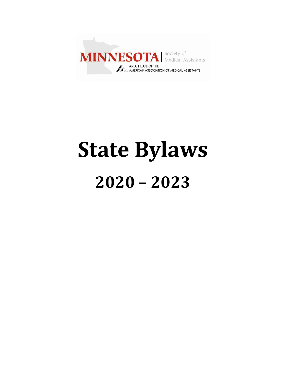

# **State Bylaws 2020 – 2023**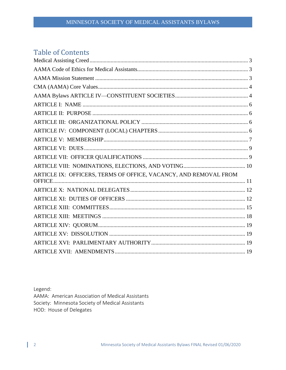## **Table of Contents**

| ARTICLE IX: OFFICERS, TERMS OF OFFICE, VACANCY, AND REMOVAL FROM |  |
|------------------------------------------------------------------|--|
|                                                                  |  |
|                                                                  |  |
|                                                                  |  |
|                                                                  |  |
|                                                                  |  |
|                                                                  |  |
|                                                                  |  |
|                                                                  |  |
|                                                                  |  |
|                                                                  |  |

Legend:

AAMA: American Association of Medical Assistants Society: Minnesota Society of Medical Assistants HOD: House of Delegates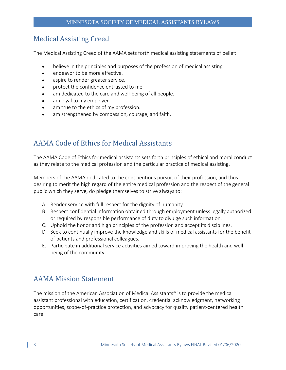# <span id="page-2-0"></span>Medical Assisting Creed

The Medical Assisting Creed of the AAMA sets forth medical assisting statements of belief:

- I believe in the principles and purposes of the profession of medical assisting.
- I endeavor to be more effective.
- I aspire to render greater service.
- I protect the confidence entrusted to me.
- I am dedicated to the care and well-being of all people.
- I am loyal to my employer.
- I am true to the ethics of my profession.
- I am strengthened by compassion, courage, and faith.

# <span id="page-2-1"></span>AAMA Code of Ethics for Medical Assistants

The AAMA Code of Ethics for medical assistants sets forth principles of ethical and moral conduct as they relate to the medical profession and the particular practice of medical assisting.

Members of the AAMA dedicated to the conscientious pursuit of their profession, and thus desiring to merit the high regard of the entire medical profession and the respect of the general public which they serve, do pledge themselves to strive always to:

- A. Render service with full respect for the dignity of humanity.
- B. Respect confidential information obtained through employment unless legally authorized or required by responsible performance of duty to divulge such information.
- C. Uphold the honor and high principles of the profession and accept its disciplines.
- D. Seek to continually improve the knowledge and skills of medical assistants for the benefit of patients and professional colleagues.
- E. Participate in additional service activities aimed toward improving the health and wellbeing of the community.

## <span id="page-2-2"></span>AAMA Mission Statement

The mission of the American Association of Medical Assistants® is to provide the medical assistant professional with education, certification, credential acknowledgment, networking opportunities, scope-of-practice protection, and advocacy for quality patient-centered health care.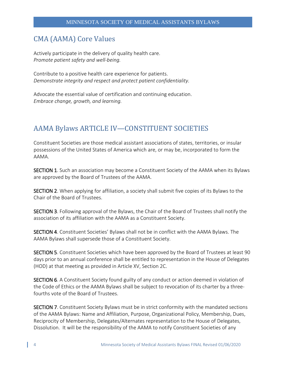# <span id="page-3-0"></span>CMA (AAMA) Core Values

Actively participate in the delivery of quality health care. *Promote patient safety and well-being.* 

Contribute to a positive health care experience for patients. *Demonstrate integrity and respect and protect patient confidentiality.*

Advocate the essential value of certification and continuing education. *Embrace change, growth, and learning.* 

## <span id="page-3-1"></span>AAMA Bylaws ARTICLE IV—CONSTITUENT SOCIETIES

Constituent Societies are those medical assistant associations of states, territories, or insular possessions of the United States of America which are, or may be, incorporated to form the AAMA.

SECTION 1. Such an association may become a Constituent Society of the AAMA when its Bylaws are approved by the Board of Trustees of the AAMA.

SECTION 2. When applying for affiliation, a society shall submit five copies of its Bylaws to the Chair of the Board of Trustees.

SECTION 3. Following approval of the Bylaws, the Chair of the Board of Trustees shall notify the association of its affiliation with the AAMA as a Constituent Society.

SECTION 4. Constituent Societies' Bylaws shall not be in conflict with the AAMA Bylaws. The AAMA Bylaws shall supersede those of a Constituent Society.

SECTION 5. Constituent Societies which have been approved by the Board of Trustees at least 90 days prior to an annual conference shall be entitled to representation in the House of Delegates (HOD) at that meeting as provided in Article XV, Section 2C.

SECTION 6. A Constituent Society found guilty of any conduct or action deemed in violation of the Code of Ethics or the AAMA Bylaws shall be subject to revocation of its charter by a threefourths vote of the Board of Trustees.

SECTION 7. Constituent Society Bylaws must be in strict conformity with the mandated sections of the AAMA Bylaws: Name and Affiliation, Purpose, Organizational Policy, Membership, Dues, Reciprocity of Membership, Delegates/Alternates representation to the House of Delegates, Dissolution. It will be the responsibility of the AAMA to notify Constituent Societies of any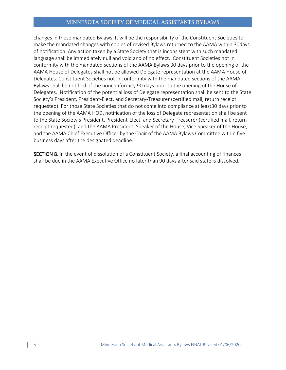## MINNESOTA SOCIETY OF MEDICAL ASSISTANTS BYLAWS

changes in those mandated Bylaws. It will be the responsibility of the Constituent Societies to make the mandated changes with copies of revised Bylaws returned to the AAMA within 30days of notification. Any action taken by a State Society that is inconsistent with such mandated language shall be immediately null and void and of no effect. Constituent Societies not in conformity with the mandated sections of the AAMA Bylaws 30 days prior to the opening of the AAMA House of Delegates shall not be allowed Delegate representation at the AAMA House of Delegates. Constituent Societies not in conformity with the mandated sections of the AAMA Bylaws shall be notified of the nonconformity 90 days prior to the opening of the House of Delegates. Notification of the potential loss of Delegate representation shall be sent to the State Society's President, President-Elect, and Secretary-Treasurer (certified mail, return receipt requested). For those State Societies that do not come into compliance at least30 days prior to the opening of the AAMA HOD, notification of the loss of Delegate representation shall be sent to the State Society's President, President-Elect, and Secretary-Treasurer (certified mail, return receipt requested), and the AAMA President, Speaker of the House, Vice Speaker of the House, and the AAMA Chief Executive Officer by the Chair of the AAMA Bylaws Committee within five business days after the designated deadline.

SECTION 8. In the event of dissolution of a Constituent Society, a final accounting of finances shall be due in the AAMA Executive Office no later than 90 days after said state is dissolved.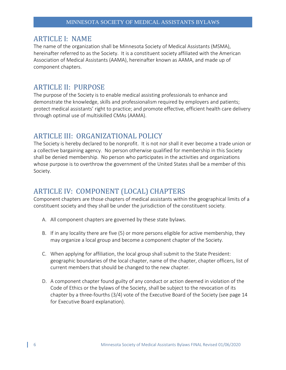## <span id="page-5-0"></span>ARTICLE I: NAME

The name of the organization shall be Minnesota Society of Medical Assistants (MSMA), hereinafter referred to as the Society. It is a constituent society affiliated with the American Association of Medical Assistants (AAMA), hereinafter known as AAMA, and made up of component chapters.

## <span id="page-5-1"></span>ARTICLE II: PURPOSE

The purpose of the Society is to enable medical assisting professionals to enhance and demonstrate the knowledge, skills and professionalism required by employers and patients; protect medical assistants' right to practice; and promote effective, efficient health care delivery through optimal use of multiskilled CMAs (AAMA).

## <span id="page-5-2"></span>ARTICLE III: ORGANIZATIONAL POLICY

The Society is hereby declared to be nonprofit. It is not nor shall it ever become a trade union or a collective bargaining agency. No person otherwise qualified for membership in this Society shall be denied membership. No person who participates in the activities and organizations whose purpose is to overthrow the government of the United States shall be a member of this Society.

## <span id="page-5-3"></span>ARTICLE IV: COMPONENT (LOCAL) CHAPTERS

Component chapters are those chapters of medical assistants within the geographical limits of a constituent society and they shall be under the jurisdiction of the constituent society.

- A. All component chapters are governed by these state bylaws.
- B. If in any locality there are five (5) or more persons eligible for active membership, they may organize a local group and become a component chapter of the Society.
- C. When applying for affiliation, the local group shall submit to the State President: geographic boundaries of the local chapter, name of the chapter, chapter officers, list of current members that should be changed to the new chapter.
- D. A component chapter found guilty of any conduct or action deemed in violation of the Code of Ethics or the bylaws of the Society, shall be subject to the revocation of its chapter by a three-fourths (3/4) vote of the Executive Board of the Society (see page 14 for Executive Board explanation).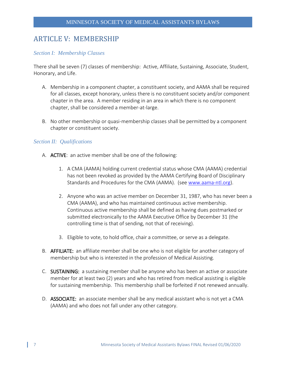## <span id="page-6-0"></span>ARTICLE V: MEMBERSHIP

## *Section I: Membership Classes*

There shall be seven (7) classes of membership: Active, Affiliate, Sustaining, Associate, Student, Honorary, and Life.

- A. Membership in a component chapter, a constituent society, and AAMA shall be required for all classes, except honorary, unless there is no constituent society and/or component chapter in the area. A member residing in an area in which there is no component chapter, shall be considered a member-at-large.
- B. No other membership or quasi-membership classes shall be permitted by a component chapter or constituent society.

## *Section II: Qualifications*

- A. **ACTIVE:** an active member shall be one of the following:
	- 1. A CMA (AAMA) holding current credential status whose CMA (AAMA) credential has not been revoked as provided by the AAMA Certifying Board of Disciplinary Standards and Procedures for the CMA (AAMA). (see [www.aama-ntl.org\)](http://www.aama-ntl.org/).
	- 2. Anyone who was an active member on December 31, 1987, who has never been a CMA (AAMA), and who has maintained continuous active membership. Continuous active membership shall be defined as having dues postmarked or submitted electronically to the AAMA Executive Office by December 31 (the controlling time is that of sending, not that of receiving).
	- 3. Eligible to vote, to hold office, chair a committee, or serve as a delegate.
- B. AFFILIATE: an affiliate member shall be one who is not eligible for another category of membership but who is interested in the profession of Medical Assisting.
- C. SUSTAINING: a sustaining member shall be anyone who has been an active or associate member for at least two (2) years and who has retired from medical assisting is eligible for sustaining membership. This membership shall be forfeited if not renewed annually.
- D. ASSOCIATE: an associate member shall be any medical assistant who is not yet a CMA (AAMA) and who does not fall under any other category.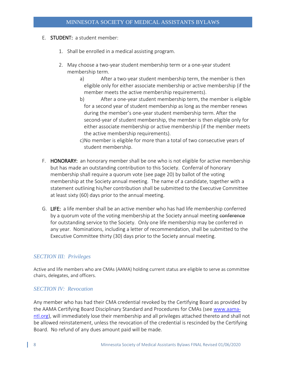- E. STUDENT: a student member:
	- 1. Shall be enrolled in a medical assisting program.
	- 2. May choose a two-year student membership term or a one-year student membership term.
		- a) After a two-year student membership term, the member is then eligible only for either associate membership or active membership (if the member meets the active membership requirements).
		- b) After a one-year student membership term, the member is eligible for a second year of student membership as long as the member renews during the member's one-year student membership term. After the second-year of student membership, the member is then eligible only for either associate membership or active membership (if the member meets the active membership requirements).
		- c)No member is eligible for more than a total of two consecutive years of student membership.
- F. **HONORARY:** an honorary member shall be one who is not eligible for active membership but has made an outstanding contribution to this Society. Conferral of honorary membership shall require a quorum vote (see page 20) by ballot of the voting membership at the Society annual meeting. The name of a candidate, together with a statement outlining his/her contribution shall be submitted to the Executive Committee at least sixty (60) days prior to the annual meeting.
- G. LIFE: a life member shall be an active member who has had life membership conferred by a quorum vote of the voting membership at the Society annual meeting conference for outstanding service to the Society. Only one life membership may be conferred in any year. Nominations, including a letter of recommendation, shall be submitted to the Executive Committee thirty (30) days prior to the Society annual meeting.

## *SECTION III: Privileges*

Active and life members who are CMAs (AAMA) holding current status are eligible to serve as committee chairs, delegates, and officers.

## *SECTION IV: Revocation*

Any member who has had their CMA credential revoked by the Certifying Board as provided by the AAMA Certifying Board Disciplinary Standard and Procedures for CMAs (see [www.aama](http://www.aama-ntl.org/)[ntl.org\)](http://www.aama-ntl.org/), will immediately lose their membership and all privileges attached thereto and shall not be allowed reinstatement, unless the revocation of the credential is rescinded by the Certifying Board. No refund of any dues amount paid will be made.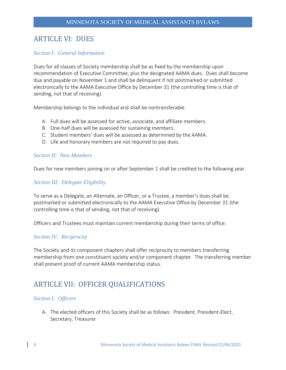## <span id="page-8-0"></span>ARTICLE VI: DUES

#### *Section I: General Information*

Dues for all classes of Society membership shall be as fixed by the membership upon recommendation of Executive Committee, plus the designated AAMA dues. Dues shall become due and payable on November 1 and shall be delinquent if not postmarked or submitted electronically to the AAMA Executive Office by December 31 (the controlling time is that of sending, not that of receiving).

Membership belongs to the individual and shall be nontransferable.

- A. Full dues will be assessed for active, associate, and affiliate members.
- B. One-half dues will be assessed for sustaining members.
- C. Student members' dues will be assessed as determined by the AAMA.
- D. Life and honorary members are not required to pay dues.

#### *Section II: New Members*

Dues for new members joining on or after September 1 shall be credited to the following year.

#### *Section III: Delegate Eligibility*

To serve as a Delegate, an Alternate, an Officer, or a Trustee, a member's dues shall be postmarked or submitted electronically to the AAMA Executive Office by December 31 (the controlling time is that of sending, not that of receiving).

Officers and Trustees must maintain current membership during their terms of office.

#### *Section IV: Reciprocity*

The Society and its component chapters shall offer reciprocity to members transferring membership from one constituent society and/or component chapter. The transferring member shall present proof of current AAMA membership status.

## <span id="page-8-1"></span>ARTICLE VII: OFFICER QUALIFICATIONS

#### *Section I: Officers*

A. The elected officers of this Society shall be as follows: President, President-Elect, Secretary, Treasurer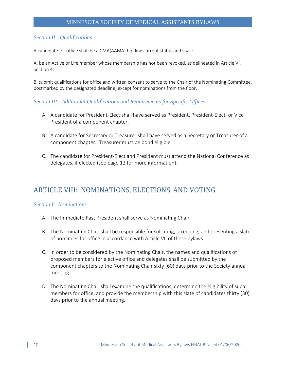## *Section II: Qualifications*

A candidate for office shall be a CMA(AAMA) holding current status and shall:

A. be an Active or Life member whose membership has not been revoked, as delineated in Article VI, Section 4;

B. submit qualifications for office and written consent to serve to the Chair of the Nominating Committee, postmarked by the designated deadline, except for nominations from the floor.

#### *Section III: Additional Qualifications and Requirements for Specific Offices*

- A. A candidate for President-Elect shall have served as President, President-Elect, or Vice President of a component chapter.
- B. A candidate for Secretary or Treasurer shall have served as a Secretary or Treasurer of a component chapter. Treasurer must be bond eligible.
- C. The candidate for President-Elect and President must attend the National Conference as delegates, if elected (see page 12 for more information).

## <span id="page-9-0"></span>ARTICLE VIII: NOMINATIONS, ELECTIONS, AND VOTING

#### *Section I: Nominations*

- A. The Immediate Past President shall serve as Nominating Chair.
- B. The Nominating Chair shall be responsible for soliciting, screening, and presenting a slate of nominees for office in accordance with Article VII of these bylaws.
- C. In order to be considered by the Nominating Chair, the names and qualifications of proposed members for elective office and delegates shall be submitted by the component chapters to the Nominating Chair sixty (60) days prior to the Society annual meeting.
- D. The Nominating Chair shall examine the qualifications, determine the eligibility of such members for office, and provide the membership with this slate of candidates thirty (30) days prior to the annual meeting.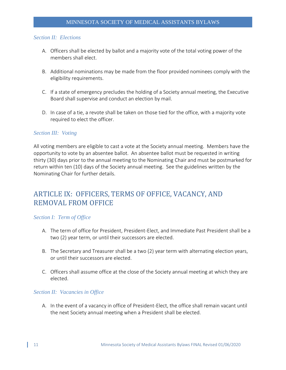#### *Section II: Elections*

- A. Officers shall be elected by ballot and a majority vote of the total voting power of the members shall elect.
- B. Additional nominations may be made from the floor provided nominees comply with the eligibility requirements.
- C. If a state of emergency precludes the holding of a Society annual meeting, the Executive Board shall supervise and conduct an election by mail.
- D. In case of a tie, a revote shall be taken on those tied for the office, with a majority vote required to elect the officer.

#### *Section III: Voting*

All voting members are eligible to cast a vote at the Society annual meeting. Members have the opportunity to vote by an absentee ballot. An absentee ballot must be requested in writing thirty (30) days prior to the annual meeting to the Nominating Chair and must be postmarked for return within ten (10) days of the Society annual meeting. See the guidelines written by the Nominating Chair for further details.

## <span id="page-10-0"></span>ARTICLE IX: OFFICERS, TERMS OF OFFICE, VACANCY, AND REMOVAL FROM OFFICE

## *Section I: Term of Office*

- A. The term of office for President, President-Elect, and Immediate Past President shall be a two (2) year term, or until their successors are elected.
- B. The Secretary and Treasurer shall be a two (2) year term with alternating election years, or until their successors are elected.
- C. Officers shall assume office at the close of the Society annual meeting at which they are elected.

#### *Section II: Vacancies in Office*

A. In the event of a vacancy in office of President-Elect, the office shall remain vacant until the next Society annual meeting when a President shall be elected.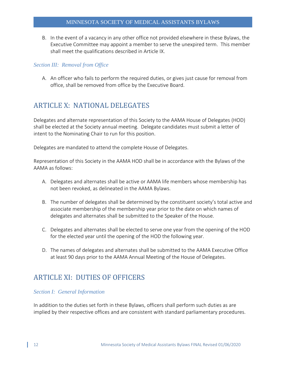B. In the event of a vacancy in any other office not provided elsewhere in these Bylaws, the Executive Committee may appoint a member to serve the unexpired term. This member shall meet the qualifications described in Article IX.

## *Section III: Removal from Office*

A. An officer who fails to perform the required duties, or gives just cause for removal from office, shall be removed from office by the Executive Board.

## <span id="page-11-0"></span>ARTICLE X: NATIONAL DELEGATES

Delegates and alternate representation of this Society to the AAMA House of Delegates (HOD) shall be elected at the Society annual meeting. Delegate candidates must submit a letter of intent to the Nominating Chair to run for this position.

Delegates are mandated to attend the complete House of Delegates.

Representation of this Society in the AAMA HOD shall be in accordance with the Bylaws of the AAMA as follows:

- A. Delegates and alternates shall be active or AAMA life members whose membership has not been revoked, as delineated in the AAMA Bylaws.
- B. The number of delegates shall be determined by the constituent society's total active and associate membership of the membership year prior to the date on which names of delegates and alternates shall be submitted to the Speaker of the House.
- C. Delegates and alternates shall be elected to serve one year from the opening of the HOD for the elected year until the opening of the HOD the following year.
- D. The names of delegates and alternates shall be submitted to the AAMA Executive Office at least 90 days prior to the AAMA Annual Meeting of the House of Delegates.

## <span id="page-11-1"></span>ARTICLE XI: DUTIES OF OFFICERS

## *Section I: General Information*

In addition to the duties set forth in these Bylaws, officers shall perform such duties as are implied by their respective offices and are consistent with standard parliamentary procedures.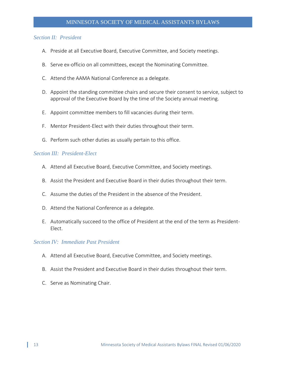## *Section II: President*

- A. Preside at all Executive Board, Executive Committee, and Society meetings.
- B. Serve ex-officio on all committees, except the Nominating Committee.
- C. Attend the AAMA National Conference as a delegate.
- D. Appoint the standing committee chairs and secure their consent to service, subject to approval of the Executive Board by the time of the Society annual meeting.
- E. Appoint committee members to fill vacancies during their term.
- F. Mentor President-Elect with their duties throughout their term.
- G. Perform such other duties as usually pertain to this office.

#### *Section III: President-Elect*

- A. Attend all Executive Board, Executive Committee, and Society meetings.
- B. Assist the President and Executive Board in their duties throughout their term.
- C. Assume the duties of the President in the absence of the President.
- D. Attend the National Conference as a delegate.
- E. Automatically succeed to the office of President at the end of the term as President-Elect.

#### *Section IV: Immediate Past President*

- A. Attend all Executive Board, Executive Committee, and Society meetings.
- B. Assist the President and Executive Board in their duties throughout their term.
- C. Serve as Nominating Chair.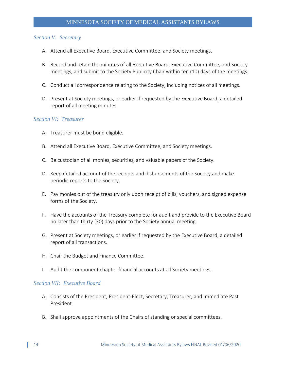#### *Section V: Secretary*

- A. Attend all Executive Board, Executive Committee, and Society meetings.
- B. Record and retain the minutes of all Executive Board, Executive Committee, and Society meetings, and submit to the Society Publicity Chair within ten (10) days of the meetings.
- C. Conduct all correspondence relating to the Society, including notices of all meetings.
- D. Present at Society meetings, or earlier if requested by the Executive Board, a detailed report of all meeting minutes.

#### *Section VI: Treasurer*

- A. Treasurer must be bond eligible.
- B. Attend all Executive Board, Executive Committee, and Society meetings.
- C. Be custodian of all monies, securities, and valuable papers of the Society.
- D. Keep detailed account of the receipts and disbursements of the Society and make periodic reports to the Society.
- E. Pay monies out of the treasury only upon receipt of bills, vouchers, and signed expense forms of the Society.
- F. Have the accounts of the Treasury complete for audit and provide to the Executive Board no later than thirty (30) days prior to the Society annual meeting.
- G. Present at Society meetings, or earlier if requested by the Executive Board, a detailed report of all transactions.
- H. Chair the Budget and Finance Committee.
- I. Audit the component chapter financial accounts at all Society meetings.

#### *Section VII: Executive Board*

- A. Consists of the President, President-Elect, Secretary, Treasurer, and Immediate Past President.
- B. Shall approve appointments of the Chairs of standing or special committees.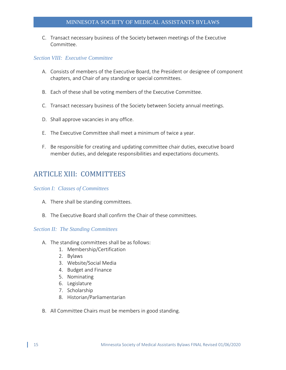C. Transact necessary business of the Society between meetings of the Executive Committee.

#### *Section VIII: Executive Committee*

- A. Consists of members of the Executive Board, the President or designee of component chapters, and Chair of any standing or special committees.
- B. Each of these shall be voting members of the Executive Committee.
- C. Transact necessary business of the Society between Society annual meetings.
- D. Shall approve vacancies in any office.
- E. The Executive Committee shall meet a minimum of twice a year.
- F. Be responsible for creating and updating committee chair duties, executive board member duties, and delegate responsibilities and expectations documents.

## <span id="page-14-0"></span>ARTICLE XIII: COMMITTEES

#### *Section I: Classes of Committees*

- A. There shall be standing committees.
- B. The Executive Board shall confirm the Chair of these committees.

#### *Section II: The Standing Committees*

- A. The standing committees shall be as follows:
	- 1. Membership/Certification
	- 2. Bylaws
	- 3. Website/Social Media
	- 4. Budget and Finance
	- 5. Nominating
	- 6. Legislature
	- 7. Scholarship
	- 8. Historian/Parliamentarian
- B. All Committee Chairs must be members in good standing.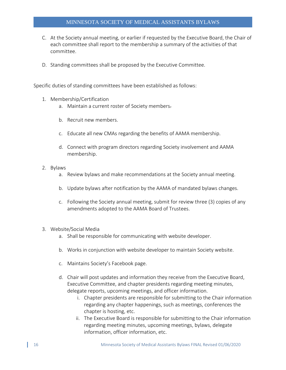- C. At the Society annual meeting, or earlier if requested by the Executive Board, the Chair of each committee shall report to the membership a summary of the activities of that committee.
- D. Standing committees shall be proposed by the Executive Committee.

Specific duties of standing committees have been established as follows:

- 1. Membership/Certification
	- a. Maintain a current roster of Society members.
	- b. Recruit new members.
	- c. Educate all new CMAs regarding the benefits of AAMA membership.
	- d. Connect with program directors regarding Society involvement and AAMA membership.
- 2. Bylaws
	- a. Review bylaws and make recommendations at the Society annual meeting.
	- b. Update bylaws after notification by the AAMA of mandated bylaws changes.
	- c. Following the Society annual meeting, submit for review three (3) copies of any amendments adopted to the AAMA Board of Trustees.
- 3. Website/Social Media
	- a. Shall be responsible for communicating with website developer.
	- b. Works in conjunction with website developer to maintain Society website.
	- c. Maintains Society's Facebook page.
	- d. Chair will post updates and information they receive from the Executive Board, Executive Committee, and chapter presidents regarding meeting minutes, delegate reports, upcoming meetings, and officer information.
		- i. Chapter presidents are responsible for submitting to the Chair information regarding any chapter happenings, such as meetings, conferences the chapter is hosting, etc.
		- ii. The Executive Board is responsible for submitting to the Chair information regarding meeting minutes, upcoming meetings, bylaws, delegate information, officer information, etc.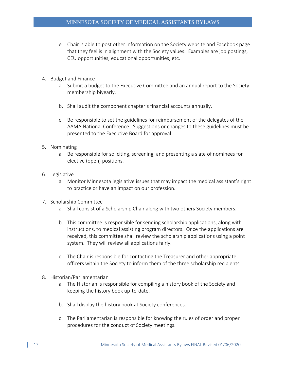- e. Chair is able to post other information on the Society website and Facebook page that they feel is in alignment with the Society values. Examples are job postings, CEU opportunities, educational opportunities, etc.
- 4. Budget and Finance
	- a. Submit a budget to the Executive Committee and an annual report to the Society membership biyearly.
	- b. Shall audit the component chapter's financial accounts annually.
	- c. Be responsible to set the guidelines for reimbursement of the delegates of the AAMA National Conference. Suggestions or changes to these guidelines must be presented to the Executive Board for approval.
- 5. Nominating
	- a. Be responsible for soliciting, screening, and presenting a slate of nominees for elective (open) positions.
- 6. Legislative
	- a. Monitor Minnesota legislative issues that may impact the medical assistant's right to practice or have an impact on our profession.
- 7. Scholarship Committee
	- a. Shall consist of a Scholarship Chair along with two others Society members.
	- b. This committee is responsible for sending scholarship applications, along with instructions, to medical assisting program directors. Once the applications are received, this committee shall review the scholarship applications using a point system. They will review all applications fairly.
	- c. The Chair is responsible for contacting the Treasurer and other appropriate officers within the Society to inform them of the three scholarship recipients.
- 8. Historian/Parliamentarian
	- a. The Historian is responsible for compiling a history book of the Society and keeping the history book up-to-date.
	- b. Shall display the history book at Society conferences.
	- c. The Parliamentarian is responsible for knowing the rules of order and proper procedures for the conduct of Society meetings.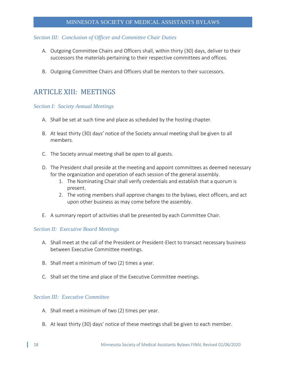## *Section III: Conclusion of Officer and Committee Chair Duties*

- A. Outgoing Committee Chairs and Officers shall, within thirty (30) days, deliver to their successors the materials pertaining to their respective committees and offices.
- B. Outgoing Committee Chairs and Officers shall be mentors to their successors.

## <span id="page-17-0"></span>ARTICLE XIII: MEETINGS

## *Section I: Society Annual Meetings*

- A. Shall be set at such time and place as scheduled by the hosting chapter.
- B. At least thirty (30) days' notice of the Society annual meeting shall be given to all members.
- C. The Society annual meeting shall be open to all guests.
- D. The President shall preside at the meeting and appoint committees as deemed necessary for the organization and operation of each session of the general assembly.
	- 1. The Nominating Chair shall verify credentials and establish that a quorum is present.
	- 2. The voting members shall approve changes to the bylaws, elect officers, and act upon other business as may come before the assembly.
- E. A summary report of activities shall be presented by each Committee Chair.

## *Section II: Executive Board Meetings*

- A. Shall meet at the call of the President or President-Elect to transact necessary business between Executive Committee meetings.
- B. Shall meet a minimum of two (2) times a year.
- C. Shall set the time and place of the Executive Committee meetings.

## *Section III: Executive Committee*

- A. Shall meet a minimum of two (2) times per year.
- B. At least thirty (30) days' notice of these meetings shall be given to each member.